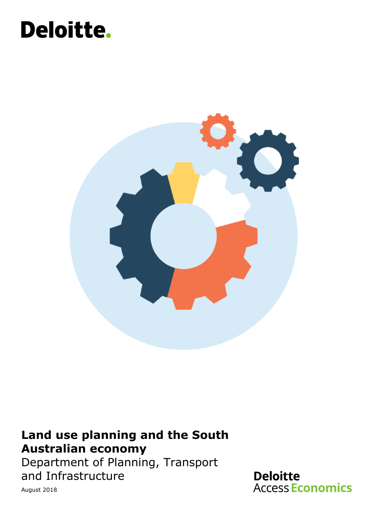# Deloitte.



### **Land use planning and the South Australian economy**

Department of Planning, Transport and Infrastructure

**Deloitte Access Economics** 

August 2018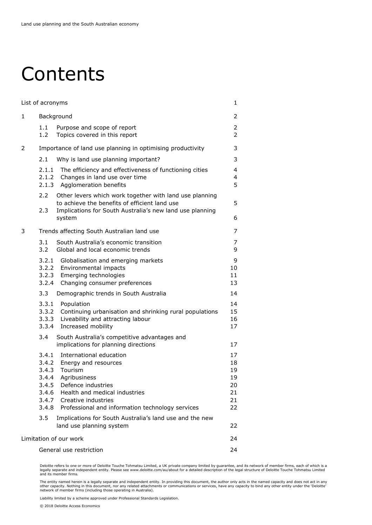### Contents

| List of acronyms             |                                                    |                                                                                                                                                                                                                          | 1                                            |
|------------------------------|----------------------------------------------------|--------------------------------------------------------------------------------------------------------------------------------------------------------------------------------------------------------------------------|----------------------------------------------|
| 1                            | Background                                         |                                                                                                                                                                                                                          | 2                                            |
|                              | 1.1<br>1.2                                         | Purpose and scope of report<br>Topics covered in this report                                                                                                                                                             | $\overline{2}$<br>$\overline{2}$             |
| 2                            |                                                    | Importance of land use planning in optimising productivity                                                                                                                                                               | 3                                            |
|                              | 2.1                                                | Why is land use planning important?                                                                                                                                                                                      | 3                                            |
|                              |                                                    | 2.1.1 The efficiency and effectiveness of functioning cities<br>2.1.2 Changes in land use over time<br>2.1.3 Agglomeration benefits                                                                                      | $\overline{\mathcal{L}}$<br>4<br>5           |
|                              | 2.2<br>2.3                                         | Other levers which work together with land use planning<br>to achieve the benefits of efficient land use<br>Implications for South Australia's new land use planning<br>system                                           | 5<br>6                                       |
| 3                            |                                                    | Trends affecting South Australian land use                                                                                                                                                                               | 7                                            |
|                              | 3.1<br>3.2                                         | South Australia's economic transition<br>Global and local economic trends                                                                                                                                                | 7<br>9                                       |
|                              | 3.2.1<br>3.2.2<br>3.2.3<br>3.2.4                   | Globalisation and emerging markets<br>Environmental impacts<br>Emerging technologies<br>Changing consumer preferences                                                                                                    | 9<br>10<br>11<br>13                          |
|                              | 3.3                                                | Demographic trends in South Australia                                                                                                                                                                                    | 14                                           |
|                              | 3.3.1<br>3.3.2<br>3.3.3<br>3.3.4                   | Population<br>Continuing urbanisation and shrinking rural populations<br>Liveability and attracting labour<br>Increased mobility                                                                                         | 14<br>15<br>16<br>17                         |
|                              | 3.4                                                | South Australia's competitive advantages and<br>implications for planning directions                                                                                                                                     | 17                                           |
|                              | 3.4.1<br>3.4.2<br>3.4.3<br>3.4.5<br>3.4.6<br>3.4.8 | International education<br>Energy and resources<br>Tourism<br>3.4.4 Agribusiness<br>Defence industries<br>Health and medical industries<br>3.4.7 Creative industries<br>Professional and information technology services | 17<br>18<br>19<br>19<br>20<br>21<br>21<br>22 |
|                              | 3.5                                                | Implications for South Australia's land use and the new<br>land use planning system                                                                                                                                      | 22                                           |
| Limitation of our work<br>24 |                                                    |                                                                                                                                                                                                                          |                                              |
|                              | General use restriction<br>24                      |                                                                                                                                                                                                                          |                                              |

Deloitte refers to one or more of Deloitte Touche Tohmatsu Limited, a UK private company limited by guarantee, and its network of member firms, each of which is a<br>legally separate and independent entity. Please see www.del

The entity named herein is a legally separate and independent entity. In providing this document, the author only acts in the named capacity and does not act in any<br>other capacity. Nothing in this document, nor any related

Liability limited by a scheme approved under Professional Standards Legislation.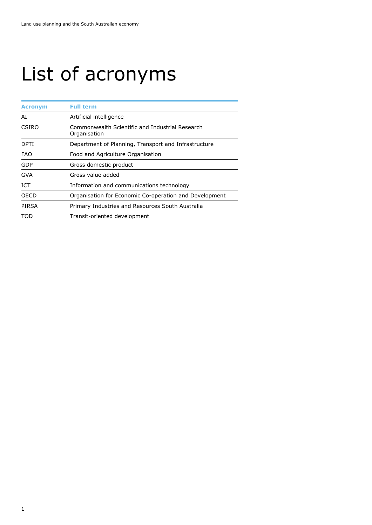# <span id="page-2-0"></span>List of acronyms

| <b>Acronym</b> | <b>Full term</b>                                                |  |
|----------------|-----------------------------------------------------------------|--|
| AI             | Artificial intelligence                                         |  |
| CSIRO          | Commonwealth Scientific and Industrial Research<br>Organisation |  |
| <b>DPTI</b>    | Department of Planning, Transport and Infrastructure            |  |
| <b>FAO</b>     | Food and Agriculture Organisation                               |  |
| GDP            | Gross domestic product                                          |  |
| <b>GVA</b>     | Gross value added                                               |  |
| ICT            | Information and communications technology                       |  |
| OECD           | Organisation for Economic Co-operation and Development          |  |
| PIRSA          | Primary Industries and Resources South Australia                |  |
| TOD            | Transit-oriented development                                    |  |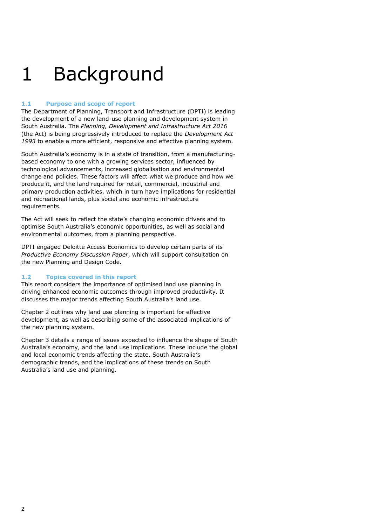### <span id="page-3-0"></span>1 Background

#### <span id="page-3-1"></span>**1.1 Purpose and scope of report**

The Department of Planning, Transport and Infrastructure (DPTI) is leading the development of a new land-use planning and development system in South Australia. The *Planning, Development and Infrastructure Act 2016*  (the Act) is being progressively introduced to replace the *Development Act 1993* to enable a more efficient, responsive and effective planning system.

South Australia's economy is in a state of transition, from a manufacturingbased economy to one with a growing services sector, influenced by technological advancements, increased globalisation and environmental change and policies. These factors will affect what we produce and how we produce it, and the land required for retail, commercial, industrial and primary production activities, which in turn have implications for residential and recreational lands, plus social and economic infrastructure requirements.

The Act will seek to reflect the state's changing economic drivers and to optimise South Australia's economic opportunities, as well as social and environmental outcomes, from a planning perspective.

DPTI engaged Deloitte Access Economics to develop certain parts of its *Productive Economy Discussion Paper*, which will support consultation on the new Planning and Design Code.

#### <span id="page-3-2"></span>**1.2 Topics covered in this report**

This report considers the importance of optimised land use planning in driving enhanced economic outcomes through improved productivity. It discusses the major trends affecting South Australia's land use.

Chapter 2 outlines why land use planning is important for effective development, as well as describing some of the associated implications of the new planning system.

Chapter 3 details a range of issues expected to influence the shape of South Australia's economy, and the land use implications. These include the global and local economic trends affecting the state, South Australia's demographic trends, and the implications of these trends on South Australia's land use and planning.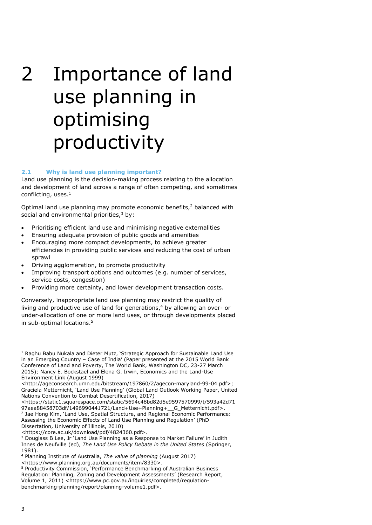# <span id="page-4-0"></span>2 Importance of land use planning in optimising productivity

#### <span id="page-4-1"></span>**2.1 Why is land use planning important?**

Land use planning is the decision-making process relating to the allocation and development of land across a range of often competing, and sometimes conflicting, uses. $<sup>1</sup>$  $<sup>1</sup>$  $<sup>1</sup>$ </sup>

Optimal land use planning may promote economic benefits,<sup>[2](#page-4-3)</sup> balanced with social and environmental priorities, $3$  by:

- Prioritising efficient land use and minimising negative externalities
- Ensuring adequate provision of public goods and amenities
- Encouraging more compact developments, to achieve greater efficiencies in providing public services and reducing the cost of urban sprawl
- Driving agglomeration, to promote productivity
- Improving transport options and outcomes (e.g. number of services, service costs, congestion)
- Providing more certainty, and lower development transaction costs.

Conversely, inappropriate land use planning may restrict the quality of living and productive use of land for generations, $4$  by allowing an over- or under-allocation of one or more land uses, or through developments placed in sub-optimal locations.[5](#page-4-6)

<https://core.ac.uk/download/pdf/4824360.pdf>.

<span id="page-4-2"></span> $1$  Raghu Babu Nukala and Dieter Mutz, 'Strategic Approach for Sustainable Land Use in an Emerging Country – Case of India' (Paper presented at the 2015 World Bank Conference of Land and Poverty, The World Bank, Washington DC, 23-27 March 2015); Nancy E. Bockstael and Elena G. Irwin, Economics and the Land-Use Environment Link (August 1999)

<sup>&</sup>lt;http://ageconsearch.umn.edu/bitstream/197860/2/agecon-maryland-99-04.pdf>; Graciela Metternicht, 'Land Use Planning' (Global Land Outlook Working Paper, United Nations Convention to Combat Desertification, 2017)

<span id="page-4-3"></span><sup>&</sup>lt;https://static1.squarespace.com/static/5694c48bd82d5e9597570999/t/593a42d71 97aea88458703df/1496990441721/Land+Use+Planning+\_\_G\_Metternicht.pdf>. <sup>2</sup> Jae Hong Kim, 'Land Use, Spatial Structure, and Regional Economic Performance: Assessing the Economic Effects of Land Use Planning and Regulation' (PhD Dissertation, University of Illinois, 2010)

<span id="page-4-4"></span><sup>3</sup> Douglass B Lee, Jr 'Land Use Planning as a Response to Market Failure' in Judith Innes de Neufville (ed), *The Land Use Policy Debate in the United States* (Springer, 1981).

<span id="page-4-5"></span><sup>4</sup> Planning Institute of Australia, *The value of planning* (August 2017)

<sup>&</sup>lt;https://www.planning.org.au/documents/item/8330>.

<span id="page-4-6"></span><sup>5</sup> Productivity Commission, 'Performance Benchmarking of Australian Business Regulation: Planning, Zoning and Development Assessments' (Research Report, Volume 1, 2011) <https://www.pc.gov.au/inquiries/completed/regulationbenchmarking-planning/report/planning-volume1.pdf>.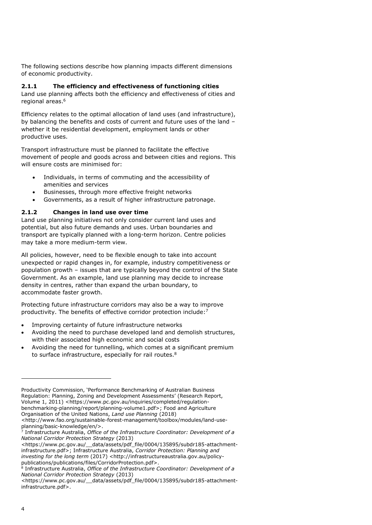The following sections describe how planning impacts different dimensions of economic productivity.

#### <span id="page-5-0"></span>**2.1.1 The efficiency and effectiveness of functioning cities**

Land use planning affects both the efficiency and effectiveness of cities and regional areas.[6](#page-5-2)

Efficiency relates to the optimal allocation of land uses (and infrastructure), by balancing the benefits and costs of current and future uses of the land – whether it be residential development, employment lands or other productive uses.

Transport infrastructure must be planned to facilitate the effective movement of people and goods across and between cities and regions. This will ensure costs are minimised for:

- Individuals, in terms of commuting and the accessibility of amenities and services
- Businesses, through more effective freight networks
- Governments, as a result of higher infrastructure patronage.

#### <span id="page-5-1"></span>**2.1.2 Changes in land use over time**

Land use planning initiatives not only consider current land uses and potential, but also future demands and uses. Urban boundaries and transport are typically planned with a long-term horizon. Centre policies may take a more medium-term view.

All policies, however, need to be flexible enough to take into account unexpected or rapid changes in, for example, industry competitiveness or population growth – issues that are typically beyond the control of the State Government. As an example, land use planning may decide to increase density in centres, rather than expand the urban boundary, to accommodate faster growth.

Protecting future infrastructure corridors may also be a way to improve productivity. The benefits of effective corridor protection include:[7](#page-5-3)

- Improving certainty of future infrastructure networks
- Avoiding the need to purchase developed land and demolish structures, with their associated high economic and social costs
- Avoiding the need for tunnelling, which comes at a significant premium to surface infrastructure, especially for rail routes.<sup>[8](#page-5-4)</sup>

<https://www.pc.gov.au/\_\_data/assets/pdf\_file/0004/135895/subdr185-attachmentinfrastructure.pdf>; Infrastructure Australia, *Corridor Protection: Planning and investing for the long term* (2017) <http://infrastructureaustralia.gov.au/policypublications/publications/files/CorridorProtection.pdf>.<br><sup>8</sup> Infrastructure Australia *Office of the Infrastructure C* 

<span id="page-5-2"></span>Productivity Commission, 'Performance Benchmarking of Australian Business Regulation: Planning, Zoning and Development Assessments' (Research Report, Volume 1, 2011) <https://www.pc.gov.au/inquiries/completed/regulationbenchmarking-planning/report/planning-volume1.pdf>; Food and Agriculture Organisation of the United Nations, *Land use Planning* (2018)

<sup>&</sup>lt;http://www.fao.org/sustainable-forest-management/toolbox/modules/land-useplanning/basic-knowledge/en/>.

<span id="page-5-3"></span><sup>7</sup> Infrastructure Australia, *Office of the Infrastructure Coordinator: Development of a National Corridor Protection Strategy* (2013)

<span id="page-5-4"></span>Infrastructure Australia, *Office of the Infrastructure Coordinator: Development of a National Corridor Protection Strategy* (2013)

<sup>&</sup>lt;https://www.pc.gov.au/\_\_data/assets/pdf\_file/0004/135895/subdr185-attachmentinfrastructure.pdf>.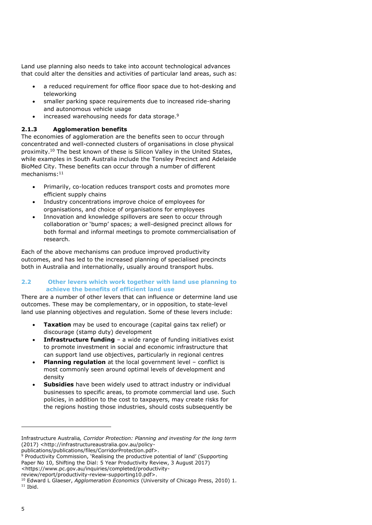Land use planning also needs to take into account technological advances that could alter the densities and activities of particular land areas, such as:

- a reduced requirement for office floor space due to hot-desking and teleworking
- smaller parking space requirements due to increased ride-sharing and autonomous vehicle usage
- $\bullet$  increased warehousing needs for data storage.<sup>[9](#page-6-2)</sup>

#### <span id="page-6-0"></span>**2.1.3 Agglomeration benefits**

The economies of agglomeration are the benefits seen to occur through concentrated and well-connected clusters of organisations in close physical proximity.<sup>[10](#page-6-3)</sup> The best known of these is Silicon Valley in the United States, while examples in South Australia include the Tonsley Precinct and Adelaide BioMed City. These benefits can occur through a number of different mechanisms:[11](#page-6-4)

- Primarily, co-location reduces transport costs and promotes more efficient supply chains
- Industry concentrations improve choice of employees for organisations, and choice of organisations for employees
- Innovation and knowledge spillovers are seen to occur through collaboration or 'bump' spaces; a well-designed precinct allows for both formal and informal meetings to promote commercialisation of research.

Each of the above mechanisms can produce improved productivity outcomes, and has led to the increased planning of specialised precincts both in Australia and internationally, usually around transport hubs.

#### <span id="page-6-1"></span>**2.2 Other levers which work together with land use planning to achieve the benefits of efficient land use**

There are a number of other levers that can influence or determine land use outcomes. These may be complementary, or in opposition, to state-level land use planning objectives and regulation. Some of these levers include:

- **Taxation** may be used to encourage (capital gains tax relief) or discourage (stamp duty) development
- **Infrastructure funding** a wide range of funding initiatives exist to promote investment in social and economic infrastructure that can support land use objectives, particularly in regional centres
- **Planning regulation** at the local government level conflict is most commonly seen around optimal levels of development and density
- **Subsidies** have been widely used to attract industry or individual businesses to specific areas, to promote commercial land use. Such policies, in addition to the cost to taxpayers, may create risks for the regions hosting those industries, should costs subsequently be

Infrastructure Australia*, Corridor Protection: Planning and investing for the long term* (2017) <http://infrastructureaustralia.gov.au/policy-

<span id="page-6-2"></span>publications/publications/files/CorridorProtection.pdf>. <sup>9</sup> Productivity Commission, 'Realising the productive potential of land' (Supporting

Paper No 10, Shifting the Dial: 5 Year Productivity Review, 3 August 2017)

<sup>&</sup>lt;https://www.pc.gov.au/inquiries/completed/productivity-

review/report/productivity-review-supporting10.pdf>.

<span id="page-6-4"></span><span id="page-6-3"></span><sup>10</sup> Edward L Glaeser, *Agglomeration Economics* (University of Chicago Press, 2010) 1.  $11$  Ibid.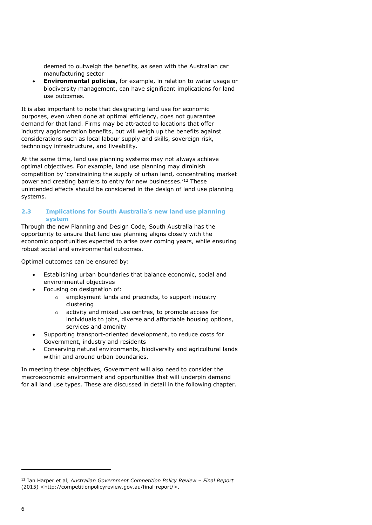deemed to outweigh the benefits, as seen with the Australian car manufacturing sector

 **Environmental policies**, for example, in relation to water usage or biodiversity management, can have significant implications for land use outcomes.

It is also important to note that designating land use for economic purposes, even when done at optimal efficiency, does not guarantee demand for that land. Firms may be attracted to locations that offer industry agglomeration benefits, but will weigh up the benefits against considerations such as local labour supply and skills, sovereign risk, technology infrastructure, and liveability.

At the same time, land use planning systems may not always achieve optimal objectives. For example, land use planning may diminish competition by 'constraining the supply of urban land, concentrating market power and creating barriers to entry for new businesses.'[12](#page-7-1) These unintended effects should be considered in the design of land use planning systems.

#### <span id="page-7-0"></span>**2.3 Implications for South Australia's new land use planning system**

Through the new Planning and Design Code, South Australia has the opportunity to ensure that land use planning aligns closely with the economic opportunities expected to arise over coming years, while ensuring robust social and environmental outcomes.

Optimal outcomes can be ensured by:

- Establishing urban boundaries that balance economic, social and environmental objectives
- Focusing on designation of:
	- o employment lands and precincts, to support industry clustering
	- o activity and mixed use centres, to promote access for individuals to jobs, diverse and affordable housing options, services and amenity
- Supporting transport-oriented development, to reduce costs for Government, industry and residents
- Conserving natural environments, biodiversity and agricultural lands within and around urban boundaries.

In meeting these objectives, Government will also need to consider the macroeconomic environment and opportunities that will underpin demand for all land use types. These are discussed in detail in the following chapter.

<span id="page-7-1"></span><sup>12</sup> Ian Harper et al, *Australian Government Competition Policy Review – Final Report*  (2015) <http://competitionpolicyreview.gov.au/final-report/>.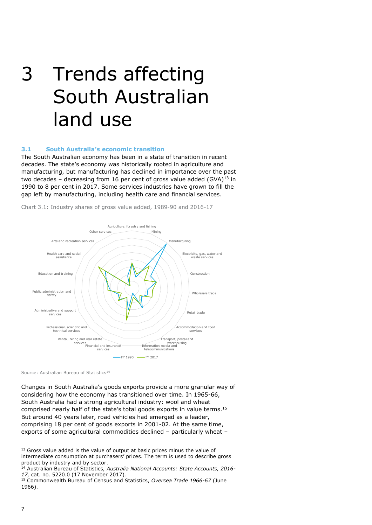## <span id="page-8-0"></span>3 Trends affecting South Australian land use

#### <span id="page-8-1"></span>**3.1 South Australia's economic transition**

The South Australian economy has been in a state of transition in recent decades. The state's economy was historically rooted in agriculture and manufacturing, but manufacturing has declined in importance over the past two decades - decreasing from 16 per cent of gross value added  $(GVA)^{13}$  $(GVA)^{13}$  $(GVA)^{13}$  in 1990 to 8 per cent in 2017. Some services industries have grown to fill the gap left by manufacturing, including health care and financial services.

Chart 3.1: Industry shares of gross value added, 1989-90 and 2016-17



Source: Australian Bureau of Statistics<sup>[14](#page-8-3)</sup>

Changes in South Australia's goods exports provide a more granular way of considering how the economy has transitioned over time. In 1965-66, South Australia had a strong agricultural industry: wool and wheat comprised nearly half of the state's total goods exports in value terms. [15](#page-8-4) But around 40 years later, road vehicles had emerged as a leader, comprising 18 per cent of goods exports in 2001-02. At the same time, exports of some agricultural commodities declined – particularly wheat –

<span id="page-8-2"></span><sup>&</sup>lt;sup>13</sup> Gross value added is the value of output at basic prices minus the value of intermediate consumption at purchasers' prices. The term is used to describe gross product by industry and by sector.

<span id="page-8-3"></span><sup>14</sup> Australian Bureau of Statistics, *Australia National Accounts: State Accounts, 2016- 17,* cat. no. 5220.0 (17 November 2017).

<span id="page-8-4"></span><sup>15</sup> Commonwealth Bureau of Census and Statistics, *Oversea Trade 1966-67* (June 1966).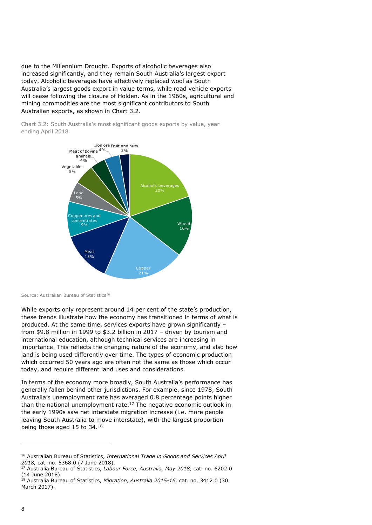due to the Millennium Drought. Exports of alcoholic beverages also increased significantly, and they remain South Australia's largest export today. Alcoholic beverages have effectively replaced wool as South Australia's largest goods export in value terms, while road vehicle exports will cease following the closure of Holden. As in the 1960s, agricultural and mining commodities are the most significant contributors to South Australian exports, as shown in Chart 3.2.

Chart 3.2: South Australia's most significant goods exports by value, year ending April 2018



Source: Australian Bureau of Statistics<sup>[16](#page-9-0)</sup>

While exports only represent around 14 per cent of the state's production, these trends illustrate how the economy has transitioned in terms of what is produced. At the same time, services exports have grown significantly – from \$9.8 million in 1999 to \$3.2 billion in 2017 – driven by tourism and international education, although technical services are increasing in importance. This reflects the changing nature of the economy, and also how land is being used differently over time. The types of economic production which occurred 50 years ago are often not the same as those which occur today, and require different land uses and considerations.

In terms of the economy more broadly, South Australia's performance has generally fallen behind other jurisdictions. For example, since 1978, South Australia's unemployment rate has averaged 0.8 percentage points higher than the national unemployment rate. $17$  The negative economic outlook in the early 1990s saw net interstate migration increase (i.e. more people leaving South Australia to move interstate), with the largest proportion being those aged 15 to 34.[18](#page-9-2)

<span id="page-9-0"></span><sup>16</sup> Australian Bureau of Statistics, *International Trade in Goods and Services April 2018,* cat. no. 5368.0 (7 June 2018).

<span id="page-9-1"></span><sup>17</sup> Australia Bureau of Statistics, *Labour Force, Australia, May 2018,* cat. no. 6202.0 (14 June 2018).

<span id="page-9-2"></span><sup>18</sup> Australia Bureau of Statistics, *Migration, Australia 2015-16,* cat. no. 3412.0 (30 March 2017).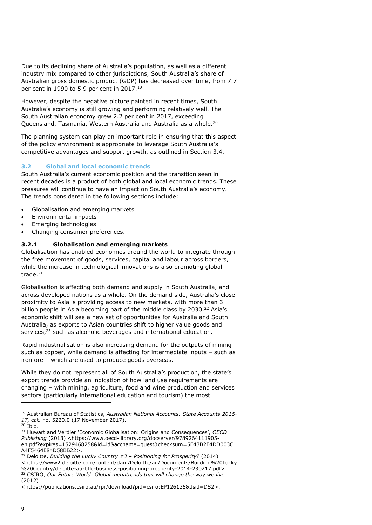Due to its declining share of Australia's population, as well as a different industry mix compared to other jurisdictions, South Australia's share of Australian gross domestic product (GDP) has decreased over time, from 7.7 per cent in [19](#page-10-2)90 to 5.9 per cent in 2017.<sup>19</sup>

However, despite the negative picture painted in recent times, South Australia's economy is still growing and performing relatively well. The South Australian economy grew 2.2 per cent in 2017, exceeding Queensland, Tasmania, Western Australia and Australia as a whole.[20](#page-10-3)

The planning system can play an important role in ensuring that this aspect of the policy environment is appropriate to leverage South Australia's competitive advantages and support growth, as outlined in Section [3.4.](#page-18-1)

#### <span id="page-10-0"></span>**3.2 Global and local economic trends**

South Australia's current economic position and the transition seen in recent decades is a product of both global and local economic trends. These pressures will continue to have an impact on South Australia's economy. The trends considered in the following sections include:

- Globalisation and emerging markets
- Environmental impacts
- Emerging technologies
- Changing consumer preferences.

#### <span id="page-10-1"></span>**3.2.1 Globalisation and emerging markets**

Globalisation has enabled economies around the world to integrate through the free movement of goods, services, capital and labour across borders, while the increase in technological innovations is also promoting global trade. $21$ 

Globalisation is affecting both demand and supply in South Australia, and across developed nations as a whole. On the demand side, Australia's close proximity to Asia is providing access to new markets, with more than 3 billion people in Asia becoming part of the middle class by 2030.<sup>[22](#page-10-5)</sup> Asia's economic shift will see a new set of opportunities for Australia and South Australia, as exports to Asian countries shift to higher value goods and services,<sup>[23](#page-10-6)</sup> such as alcoholic beverages and international education.

Rapid industrialisation is also increasing demand for the outputs of mining such as copper, while demand is affecting for intermediate inputs – such as iron ore – which are used to produce goods overseas.

While they do not represent all of South Australia's production, the state's export trends provide an indication of how land use requirements are changing – with mining, agriculture, food and wine production and services sectors (particularly international education and tourism) the most

<span id="page-10-2"></span><sup>19</sup> Australian Bureau of Statistics, *Australian National Accounts: State Accounts 2016- 17,* cat. no. 5220.0 (17 November 2017).  $20$  Ibid.

<span id="page-10-4"></span><span id="page-10-3"></span><sup>21</sup> Huwart and Verdier 'Economic Globalisation: Origins and Consequences', *OECD* 

*Publishing* (2013) <https://www.oecd-ilibrary.org/docserver/9789264111905 en.pdf?expires=1529468258&id=id&accname=guest&checksum=5E43B2E4DD003C1 A4F5464E84D58BB22>.

<span id="page-10-5"></span><sup>22</sup> Deloitte, *Building the Lucky Country #3 – Positioning for Prosperity?* (2014) <https://www2.deloitte.com/content/dam/Deloitte/au/Documents/Building%20Lucky %20Country/deloitte-au-btlc-business-positioning-prosperity-2014-230217.pdf>. <sup>23</sup> CSIRO, Our Future World: Global megatrends that will change the way we live (2012)

<span id="page-10-6"></span><sup>&</sup>lt;https://publications.csiro.au/rpr/download?pid=csiro:EP126135&dsid=DS2>.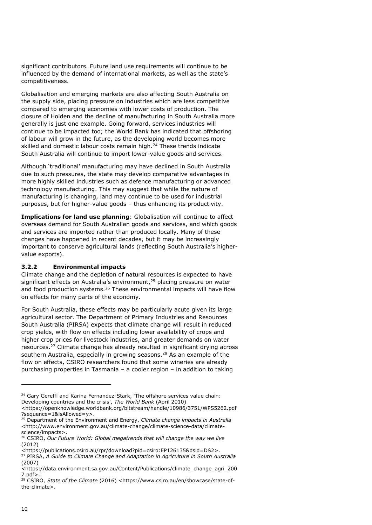significant contributors. Future land use requirements will continue to be influenced by the demand of international markets, as well as the state's competitiveness.

Globalisation and emerging markets are also affecting South Australia on the supply side, placing pressure on industries which are less competitive compared to emerging economies with lower costs of production. The closure of Holden and the decline of manufacturing in South Australia more generally is just one example. Going forward, services industries will continue to be impacted too; the World Bank has indicated that offshoring of labour will grow in the future, as the developing world becomes more skilled and domestic labour costs remain high.<sup>[24](#page-11-1)</sup> These trends indicate South Australia will continue to import lower-value goods and services.

Although 'traditional' manufacturing may have declined in South Australia due to such pressures, the state may develop comparative advantages in more highly skilled industries such as defence manufacturing or advanced technology manufacturing. This may suggest that while the nature of manufacturing is changing, land may continue to be used for industrial purposes, but for higher-value goods – thus enhancing its productivity.

**Implications for land use planning**: Globalisation will continue to affect overseas demand for South Australian goods and services, and which goods and services are imported rather than produced locally. Many of these changes have happened in recent decades, but it may be increasingly important to conserve agricultural lands (reflecting South Australia's highervalue exports).

#### <span id="page-11-0"></span>**3.2.2 Environmental impacts**

Climate change and the depletion of natural resources is expected to have significant effects on Australia's environment, $25$  placing pressure on water and food production systems.<sup>[26](#page-11-3)</sup> These environmental impacts will have flow on effects for many parts of the economy.

For South Australia, these effects may be particularly acute given its large agricultural sector. The Department of Primary Industries and Resources South Australia (PIRSA) expects that climate change will result in reduced crop yields, with flow on effects including lower availability of crops and higher crop prices for livestock industries, and greater demands on water resources.[27](#page-11-4) Climate change has already resulted in significant drying across southern Australia, especially in growing seasons.<sup>28</sup> As a[n e](#page-11-5)xample of the flow on effects, CSIRO researchers found that some wineries are already purchasing properties in Tasmania – a cooler region – in addition to taking

<span id="page-11-1"></span><sup>&</sup>lt;sup>24</sup> Gary Gereffi and Karina Fernandez-Stark, 'The offshore services value chain: Developing countries and the crisis', *The World Bank* (April 2010)

<sup>&</sup>lt;https://openknowledge.worldbank.org/bitstream/handle/10986/3751/WPS5262.pdf ?sequence=1&isAllowed=y>.

<span id="page-11-2"></span><sup>25</sup> Department of the Environment and Energy, *Climate change impacts in Australia*  <http://www.environment.gov.au/climate-change/climate-science-data/climatescience/impacts>.

<span id="page-11-3"></span><sup>26</sup> CSIRO, *Our Future World: Global megatrends that will change the way we live* (2012)

<sup>&</sup>lt;https://publications.csiro.au/rpr/download?pid=csiro:EP126135&dsid=DS2>.

<span id="page-11-4"></span><sup>27</sup> PIRSA, *A Guide to Climate Change and Adaptation in Agriculture in South Australia*  (2007)

<sup>&</sup>lt;https://data.environment.sa.gov.au/Content/Publications/climate\_change\_agri\_200 7.pdf>.

<span id="page-11-5"></span><sup>28</sup> CSIRO, *State of the Climate* (2016) <https://www.csiro.au/en/showcase/state-ofthe-climate>.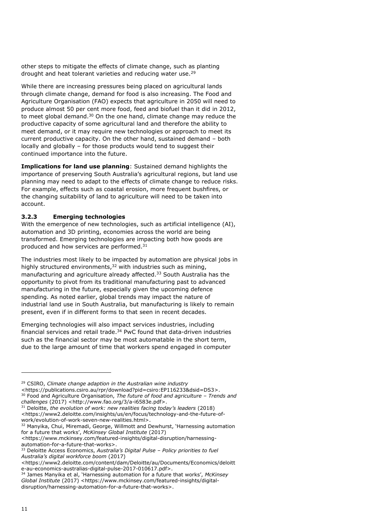other steps to mitigate the effects of climate change, such as planting drought and heat tolerant varieties and reducing water use.<sup>29</sup>

While there are increasing pressures being placed on agricultural lands through climate change, demand for food is also increasing. The Food and Agriculture Organisation (FAO) expects that agriculture in 2050 will need to produce almost 50 per cent more food, feed and biofuel than it did in 2012, to meet global demand.<sup>[30](#page-12-1)</sup> On the one hand, climate change may reduce the productive capacity of some agricultural land and therefore the ability to meet demand, or it may require new technologies or approach to meet its current productive capacity. On the other hand, sustained demand – both locally and globally – for those products would tend to suggest their continued importance into the future.

**Implications for land use planning**: Sustained demand highlights the importance of preserving South Australia's agricultural regions, but land use planning may need to adapt to the effects of climate change to reduce risks. For example, effects such as coastal erosion, more frequent bushfires, or the changing suitability of land to agriculture will need to be taken into account.

#### <span id="page-12-0"></span>**3.2.3 Emerging technologies**

With the emergence of new technologies, such as artificial intelligence (AI), automation and 3D printing, economies across the world are being transformed. Emerging technologies are impacting both how goods are produced and how services are performed.[31](#page-12-2)

The industries most likely to be impacted by automation are physical jobs in highly structured environments, $32$  with industries such as mining, manufacturing and agriculture already affected. [33](#page-12-4) South Australia has the opportunity to pivot from its traditional manufacturing past to advanced manufacturing in the future, especially given the upcoming defence spending. As noted earlier, global trends may impact the nature of industrial land use in South Australia, but manufacturing is likely to remain present, even if in different forms to that seen in recent decades.

Emerging technologies will also impact services industries, including financial services and retail trade.[34](#page-12-5) PwC found that data-driven industries such as the financial sector may be most automatable in the short term, due to the large amount of time that workers spend engaged in computer

<sup>29</sup> CSIRO, *Climate change adaption in the Australian wine industry* <https://publications.csiro.au/rpr/download?pid=csiro:EP116233&dsid=DS3>.

<span id="page-12-1"></span><sup>30</sup> Food and Agriculture Organisation, *The future of food and agriculture – Trends and challenges* (2017) <http://www.fao.org/3/a-i6583e.pdf>.

<span id="page-12-2"></span><sup>31</sup> Deloitte, *the evolution of work: new realities facing today's leaders* (2018) <https://www2.deloitte.com/insights/us/en/focus/technology-and-the-future-ofwork/evolution-of-work-seven-new-realities.html>.

<span id="page-12-3"></span><sup>&</sup>lt;sup>32</sup> Manyika, Chui, Miremadi, George, Willmott and Dewhurst, 'Harnessing automation for a future that works', *McKinsey Global Institute* (2017)

<sup>&</sup>lt;https://www.mckinsey.com/featured-insights/digital-disruption/harnessingautomation-for-a-future-that-works>.

<span id="page-12-4"></span><sup>33</sup> Deloitte Access Economics, *Australia's Digital Pulse – Policy priorities to fuel Australia's digital workforce boom* (2017)

<sup>&</sup>lt;https://www2.deloitte.com/content/dam/Deloitte/au/Documents/Economics/deloitt e-au-economics-australias-digital-pulse-2017-010617.pdf>.

<span id="page-12-5"></span><sup>34</sup> James Manyika et al, 'Harnessing automation for a future that works', *McKinsey Global Institute* (2017) <https://www.mckinsey.com/featured-insights/digitaldisruption/harnessing-automation-for-a-future-that-works>.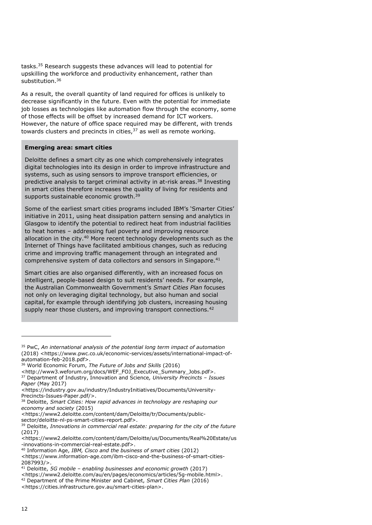tasks.[35](#page-13-0) Research suggests these advances will lead to potential for upskilling the workforce and productivity enhancement, rather than substitution.[36](#page-13-1)

As a result, the overall quantity of land required for offices is unlikely to decrease significantly in the future. Even with the potential for immediate job losses as technologies like automation flow through the economy, some of those effects will be offset by increased demand for ICT workers. However, the nature of office space required may be different, with trends towards clusters and precincts in cities, $37$  as well as remote working.

#### **Emerging area: smart cities**

Deloitte defines a smart city as one which comprehensively integrates digital technologies into its design in order to improve infrastructure and systems, such as using sensors to improve transport efficiencies, or predictive analysis to target criminal activity in at-risk areas.<sup>[38](#page-13-3)</sup> Investing in smart cities therefore increases the quality of living for residents and supports sustainable economic growth.<sup>[39](#page-13-4)</sup>

Some of the earliest smart cities programs included IBM's 'Smarter Cities' initiative in 2011, using heat dissipation pattern sensing and analytics in Glasgow to identify the potential to redirect heat from industrial facilities to heat homes – addressing fuel poverty and improving resource allocation in the city.<sup>[40](#page-13-5)</sup> More recent technology developments such as the Internet of Things have facilitated ambitious changes, such as reducing crime and improving traffic management through an integrated and comprehensive system of data collectors and sensors in Singapore.[41](#page-13-6)

Smart cities are also organised differently, with an increased focus on intelligent, people-based design to suit residents' needs. For example, the Australian Commonwealth Government's *Smart Cities Plan* focuses not only on leveraging digital technology, but also human and social capital, for example through identifying job clusters, increasing housing supply near those clusters, and improving transport connections.<sup>[42](#page-13-7)</sup>

sector/deloitte-nl-ps-smart-cities-report.pdf>.

<https://www2.deloitte.com/content/dam/Deloitte/us/Documents/Real%20Estate/us -innovations-in-commercial-real-estate.pdf>.

<span id="page-13-0"></span><sup>35</sup> PwC, *An international analysis of the potential long term impact of automation*  (2018) <https://www.pwc.co.uk/economic-services/assets/international-impact-ofautomation-feb-2018.pdf>.

<span id="page-13-1"></span><sup>36</sup> World Economic Forum, *The Future of Jobs and Skills* (2016)

<sup>&</sup>lt;http://www3.weforum.org/docs/WEF\_FOJ\_Executive\_Summary\_Jobs.pdf>.

<span id="page-13-2"></span><sup>37</sup> Department of Industry, Innovation and Science*, University Precincts – Issues Paper* (May 2017)

<sup>&</sup>lt;https://industry.gov.au/industry/IndustryInitiatives/Documents/University-Precincts-Issues-Paper.pdf/>.

<span id="page-13-3"></span><sup>38</sup> Deloitte, *Smart Cities: How rapid advances in technology are reshaping our economy and society* (2015)

<sup>&</sup>lt;https://www2.deloitte.com/content/dam/Deloitte/tr/Documents/public-

<span id="page-13-4"></span><sup>39</sup> Deloitte, *Innovations in commercial real estate: preparing for the city of the future* (2017)

<span id="page-13-5"></span><sup>40</sup> Information Age, *IBM, Cisco and the business of smart cities* (2012) <https://www.information-age.com/ibm-cisco-and-the-business-of-smart-cities-2087993/>.

<span id="page-13-6"></span><sup>41</sup> Deloitte, *5G mobile – enabling businesses and economic growth* (2017)

<sup>&</sup>lt;https://www2.deloitte.com/au/en/pages/economics/articles/5g-mobile.html>.

<span id="page-13-7"></span><sup>42</sup> Department of the Prime Minister and Cabinet, *Smart Cities Plan* (2016)

<sup>&</sup>lt;https://cities.infrastructure.gov.au/smart-cities-plan>.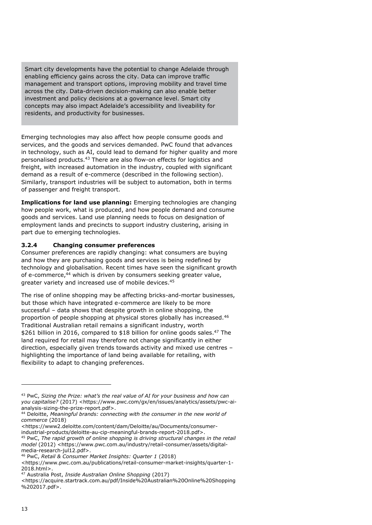Smart city developments have the potential to change Adelaide through enabling efficiency gains across the city. Data can improve traffic management and transport options, improving mobility and travel time across the city. Data-driven decision-making can also enable better investment and policy decisions at a governance level. Smart city concepts may also impact Adelaide's accessibility and liveability for residents, and productivity for businesses.

Emerging technologies may also affect how people consume goods and services, and the goods and services demanded. PwC found that advances in technology, such as AI, could lead to demand for higher quality and more personalised products.[43](#page-14-1) There are also flow-on effects for logistics and freight, with increased automation in the industry, coupled with significant demand as a result of e-commerce (described in the following section). Similarly, transport industries will be subject to automation, both in terms of passenger and freight transport.

**Implications for land use planning:** Emerging technologies are changing how people work, what is produced, and how people demand and consume goods and services. Land use planning needs to focus on designation of employment lands and precincts to support industry clustering, arising in part due to emerging technologies.

#### <span id="page-14-0"></span>**3.2.4 Changing consumer preferences**

Consumer preferences are rapidly changing: what consumers are buying and how they are purchasing goods and services is being redefined by technology and globalisation. Recent times have seen the significant growth of e-commerce,[44](#page-14-2) which is driven by consumers seeking greater value, greater variety and increased use of mobile devices.<sup>[45](#page-14-3)</sup>

The rise of online shopping may be affecting bricks-and-mortar businesses, but those which have integrated e-commerce are likely to be more successful – data shows that despite growth in online shopping, the proportion of people shopping at physical stores globally has increased.<sup>[46](#page-14-4)</sup> Traditional Australian retail remains a significant industry, worth \$261 billion in 2016, compared to \$18 billion for online goods sales.<sup>[47](#page-14-5)</sup> The land required for retail may therefore not change significantly in either direction, especially given trends towards activity and mixed use centres – highlighting the importance of land being available for retailing, with flexibility to adapt to changing preferences.

<https://www2.deloitte.com/content/dam/Deloitte/au/Documents/consumerindustrial-products/deloitte-au-cip-meaningful-brands-report-2018.pdf>.

<span id="page-14-1"></span><sup>43</sup> PwC, *Sizing the Prize: what's the real value of AI for your business and how can you capitalise?* (2017) <https://www.pwc.com/gx/en/issues/analytics/assets/pwc-aianalysis-sizing-the-prize-report.pdf>.

<span id="page-14-2"></span><sup>44</sup> Deloitte, *Meaningful brands: connecting with the consumer in the new world of commerce* (2018)

<span id="page-14-3"></span><sup>45</sup> PwC, *The rapid growth of online shopping is driving structural changes in the retail model* (2012) <https://www.pwc.com.au/industry/retail-consumer/assets/digitalmedia-research-jul12.pdf>.

<span id="page-14-4"></span><sup>46</sup> PwC, *Retail & Consumer Market Insights: Quarter 1* (2018)

<sup>&</sup>lt;https://www.pwc.com.au/publications/retail-consumer-market-insights/quarter-1- 2018.html>.

<span id="page-14-5"></span><sup>47</sup> Australia Post, *Inside Australian Online Shopping* (2017)

<sup>&</sup>lt;https://acquire.startrack.com.au/pdf/Inside%20Australian%20Online%20Shopping  $% 202017.pdf$ .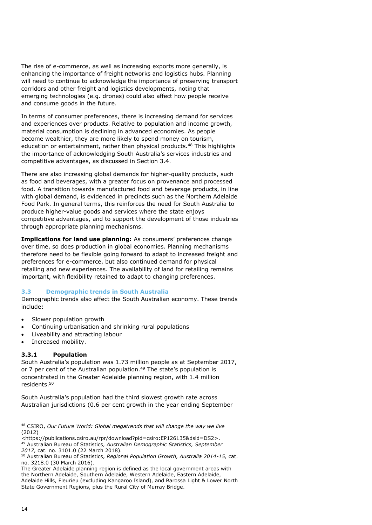The rise of e-commerce, as well as increasing exports more generally, is enhancing the importance of freight networks and logistics hubs. Planning will need to continue to acknowledge the importance of preserving transport corridors and other freight and logistics developments, noting that emerging technologies (e.g. drones) could also affect how people receive and consume goods in the future.

In terms of consumer preferences, there is increasing demand for services and experiences over products. Relative to population and income growth, material consumption is declining in advanced economies. As people become wealthier, they are more likely to spend money on tourism, education or entertainment, rather than physical products.<sup>[48](#page-15-2)</sup> This highlights the importance of acknowledging South Australia's services industries and competitive advantages, as discussed in Section 3.4.

There are also increasing global demands for higher-quality products, such as food and beverages, with a greater focus on provenance and processed food. A transition towards manufactured food and beverage products, in line with global demand, is evidenced in precincts such as the Northern Adelaide Food Park. In general terms, this reinforces the need for South Australia to produce higher-value goods and services where the state enjoys competitive advantages, and to support the development of those industries through appropriate planning mechanisms.

**Implications for land use planning:** As consumers' preferences change over time, so does production in global economies. Planning mechanisms therefore need to be flexible going forward to adapt to increased freight and preferences for e-commerce, but also continued demand for physical retailing and new experiences. The availability of land for retailing remains important, with flexibility retained to adapt to changing preferences.

#### <span id="page-15-0"></span>**3.3 Demographic trends in South Australia**

Demographic trends also affect the South Australian economy. These trends include:

- Slower population growth
- Continuing urbanisation and shrinking rural populations
- Liveability and attracting labour
- Increased mobility.

### <span id="page-15-1"></span>**3.3.1 Population**

South Australia's population was 1.73 million people as at September 2017, or 7 per cent of the Australian population.<sup>49</sup> The state's population is concentrated in the Greater Adelaide planning region, with 1.4 million residents. 50

South Australia's population had the third slowest growth rate across Australian jurisdictions (0.6 per cent growth in the year ending September

<sup>48</sup> CSIRO, *Our Future World: Global megatrends that will change the way we live* (2012)

<span id="page-15-2"></span><sup>&</sup>lt;https://publications.csiro.au/rpr/download?pid=csiro:EP126135&dsid=DS2>. <sup>49</sup> Australian Bureau of Statistics, *Australian Demographic Statistics, September 2017,* cat. no. 3101.0 (22 March 2018).

<span id="page-15-3"></span><sup>50</sup> Australian Bureau of Statistics, *Regional Population Growth, Australia 2014-15,* cat. no. 3218.0 (30 March 2016).

The Greater Adelaide planning region is defined as the local government areas with the Northern Adelaide, Southern Adelaide, Western Adelaide, Eastern Adelaide, Adelaide Hills, Fleurieu (excluding Kangaroo Island), and Barossa Light & Lower North State Government Regions, plus the Rural City of Murray Bridge.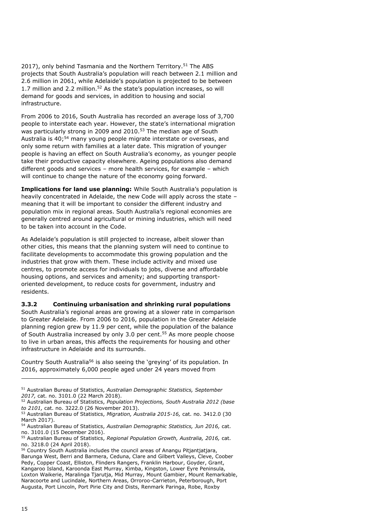2017), only behind Tasmania and the Northern Territory.<sup>51</sup> The ABS projects that South Austra[lia](#page-16-1)'s population will reach between 2.1 million and 2.6 million in 2061, while Adelaide's population is projected to be between 1.7 million and 2.2 million.<sup>52</sup> As the state's population increases, so will demand for goods and services, in addition to housing and social infrastructure.

From 2006 to 2016, South Australia has r[ec](#page-16-2)orded an average loss of 3,700 people to inter[sta](#page-16-3)te each year. However, the state's international migration was particularly strong in 2009 and 2010.<sup>53</sup> The median age of South Australia is 40:<sup>54</sup> many young people migrate interstate or overseas, and only some return with families at a later date. This migration of younger people is having an effect on South Australia's economy, as younger people take their productive capacity elsewhere. Ageing populations also demand different goods and services – more health services, for example – which will continue to change the nature of the economy going forward.

**Implications for land use planning:** While South Australia's population is heavily concentrated in Adelaide, the new Code will apply across the state – meaning that it will be important to consider the different industry and population mix in regional areas. South Australia's regional economies are generally centred around agricultural or mining industries, which will need to be taken into account in the Code.

As Adelaide's population is still projected to increase, albeit slower than other cities, this means that the planning system will need to continue to facilitate developments to accommodate this growing population and the industries that grow with them. These include activity and mixed use centres, to promote access for individuals to jobs, diverse and affordable housing options, and services and amenity; and supporting transportoriented development, to reduce costs for government, industry and residents.

#### <span id="page-16-0"></span>**3.3.2 Continuing urbanisation and shrinking rural populations**

South Australia's regional areas are growing at a slower rate in comparison to Greater Adelaide. From 2006 to 2016, population in the Greater Adelaide planni[ng](#page-16-4) region grew by 11.9 per cent, while the population of the balance of South Australia increased by only 3.0 per cent. <sup>55</sup> As more people choose to live in urban areas, this affects the requirements for housing and other infrastructure in Adelaid[e](#page-16-5) and its surrounds.

Country South Australia<sup>56</sup> is also seeing the 'greying' of its population. In 2016, approximately 6,000 people aged under 24 years moved from

<span id="page-16-1"></span><sup>51</sup> Australian Bureau of Statistics, *Australian Demographic Statistics, September 2017,* cat. no. 3101.0 (22 March 2018).

<span id="page-16-2"></span><sup>52</sup> Australian Bureau of Statistics, *Population Projections, South Australia 2012 (base to 2101,* cat. no. 3222.0 (26 November 2013).

<span id="page-16-3"></span><sup>53</sup> Australian Bureau of Statistics, *Migration, Australia 2015-16,* cat. no. 3412.0 (30 March 2017).

<span id="page-16-4"></span><sup>54</sup> Australian Bureau of Statistics, *Australian Demographic Statistics, Jun 2016,* cat. no. 3101.0 (15 December 2016).

<span id="page-16-5"></span><sup>55</sup> Australian Bureau of Statistics, *Regional Population Growth, Australia, 2016,* cat. no. 3218.0 (24 April 2018).

<sup>56</sup> Country South Australia includes the council areas of Anangu Pitjantjatjara, Barunga West, Berri and Barmera, Ceduna, Clare and Gilbert Valleys, Cleve, Coober Pedy, Copper Coast, Elliston, Flinders Rangers, Franklin Harbour, Goyder, Grant, Kangaroo Island, Karoonda East Murray, Kimba, Kingston, Lower Eyre Peninsula, Loxton Waikerie, Maralinga Tjarutja, Mid Murray, Mount Gambier, Mount Remarkable, Naracoorte and Lucindale, Northern Areas, Orroroo-Carrieton, Peterborough, Port Augusta, Port Lincoln, Port Pirie City and Dists, Renmark Paringa, Robe, Roxby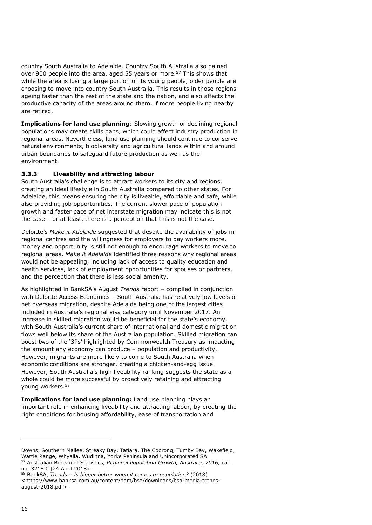country South Australia to Adelaide. Country South Au[str](#page-17-1)alia also gained over 900 people into the area, aged 55 years or more.<sup>57</sup> This shows that while the area is losing a large portion of its young people, older people are choosing to move into country South Australia. This results in those regions ageing faster than the rest of the state and the nation, and also affects the productive capacity of the areas around them, if more people living nearby are retired.

**Implications for land use planning**: Slowing growth or declining regional populations may create skills gaps, which could affect industry production in regional areas. Nevertheless, land use planning should continue to conserve natural environments, biodiversity and agricultural lands within and around urban boundaries to safeguard future production as well as the environment.

#### <span id="page-17-0"></span>**3.3.3 Liveability and attracting labour**

South Australia's challenge is to attract workers to its city and regions, creating an ideal lifestyle in South Australia compared to other states. For Adelaide, this means ensuring the city is liveable, affordable and safe, while also providing job opportunities. The current slower pace of population growth and faster pace of net interstate migration may indicate this is not the case – or at least, there is a perception that this is not the case.

Deloitte's *Make it Adelaide* suggested that despite the availability of jobs in regional centres and the willingness for employers to pay workers more, money and opportunity is still not enough to encourage workers to move to regional areas. *Make it Adelaide* identified three reasons why regional areas would not be appealing, including lack of access to quality education and health services, lack of employment opportunities for spouses or partners, and the perception that there is less social amenity.

As highlighted in BankSA's August *Trends* report – compiled in conjunction with Deloitte Access Economics – South Australia has relatively low levels of net overseas migration, despite Adelaide being one of the largest cities included in Australia's regional visa category until November 2017. An increase in skilled migration would be beneficial for the state's economy, with South Australia's current share of international and domestic migration flows well below its share of the Australian population. Skilled migration can boost two of the '3Ps' highlighted by Commonwealth Treasury as impacting the amount any economy can produce – population and productivity. However, migrants are more likely to come to South Australia when economic conditions are stronger, creating a chicken-and-egg issue. However, South Australia's high liveability ranking suggests the state as a whole could be [m](#page-17-2)ore successful by proactively retaining and attracting young workers.<sup>58</sup>

**Implications for land use planning:** Land use planning plays an important role in enhancing liveability and attracting labour, by creating the right conditions for housing affordability, ease of transportation and

<span id="page-17-1"></span>Downs, Southern Mallee, Streaky Bay, Tatiara, The Coorong, Tumby Bay, Wakefield, Wattle Range, Whyalla, Wudinna, Yorke Peninsula and Unincorporated SA <sup>57</sup> Australian Bureau of Statistics, *Regional Population Growth, Australia, 2016,* cat. no. 3218.0 (24 April 2018).

<span id="page-17-2"></span><sup>58</sup> BankSA, *Trends – Is bigger better when it comes to population?* (2018) <https://www.banksa.com.au/content/dam/bsa/downloads/bsa-media-trendsaugust-2018.pdf>.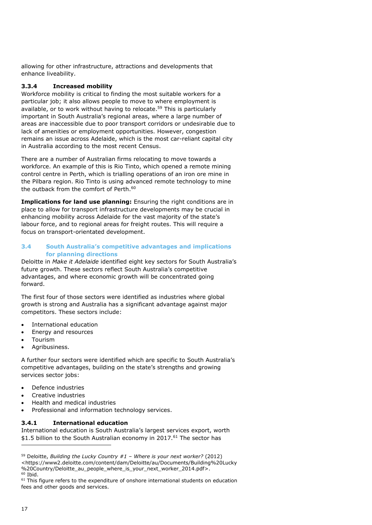<span id="page-18-0"></span>allowing for other infrastructure, attractions and developments that enhance liveability.

#### **3.3.4 Increased mobility**

Workforce mobility is critical to finding the most suitable workers for a particular job; it also allows people to move to where employment is available, or to work without having to relocate.<sup>59</sup> This is particularly important in South Australia's regional areas, where a large number of areas are inaccessible due to poor transport corridors or undesirable due to lack of amenities or employment opportunities. However, congestion remains an issue across Adelaide, which is the most car-reliant capital city in Australia according to the most recent Census.

There are a number of Australian firms relocating to move towards a workforce. An example of this is Rio Ti[nto](#page-18-3), which opened a remote mining control centre in Perth, which is trialling operations of an iron ore mine in the Pilbara region. Rio Tinto is using advanced remote technology to mine the outback from the comfort of Perth.<sup>60</sup>

<span id="page-18-1"></span>**Implications for land use planning:** Ensuring the right conditions are in place to allow for transport infrastructure developments may be crucial in enhancing mobility across Adelaide for the vast majority of the state's labour force, and to regional areas for freight routes. This will require a focus on transport-orientated development.

#### **3.4 South Australia's competitive advantages and implications for planning directions**

Deloitte in *Make it Adelaide* identified eight key sectors for South Australia's future growth. These sectors reflect South Australia's competitive advantages, and where economic growth will be concentrated going forward.

The first four of those sectors were identified as industries where global growth is strong and Australia has a significant advantage against major competitors. These sectors include:

- International education
- Energy and resources
- Tourism
- Agribusiness.

A further four sectors were identified which are specific to South Australia's competitive advantages, building on the state's strengths and growing services sector jobs:

- Defence industries
- Creative industries
- <span id="page-18-2"></span>Health and medical industries
- Professional and information technology services.

#### **3.4.1 International education**

International education is South Australia's largest services export, worth \$1.5 billion to the South Australian economy in 2017.<sup>61</sup> The sector has

<span id="page-18-3"></span><sup>59</sup> Deloitte, *Building the Lucky Country #1 – Where is your next worker?* (2012) <https://www2.deloitte.com/content/dam/Deloitte/au/Documents/Building%20Lucky %20Country/Deloitte au people where is your next worker 2014.pdf>.  $60$  Ibid.

<sup>&</sup>lt;sup>61</sup> This figure refers to the expenditure of onshore international students on education fees and other goods and services.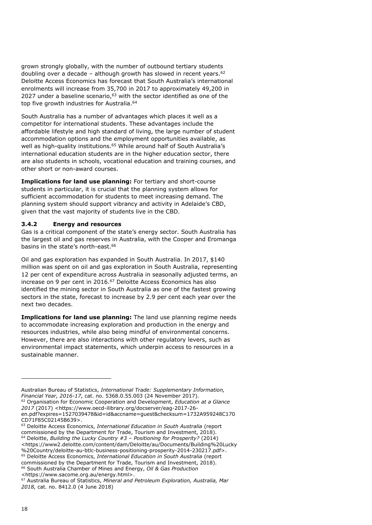grown strongly globally, with the number of outbound tertiary student[s](#page-19-1)  doubling over a decade – although growth has slowed in recent years. $62$ Deloitte Access Economics has forecast that South Australia's international enrolments will increase from 3[5,7](#page-19-2)00 in 2017 to approximately 49,200 in 2027 under a baseline scenario, $63$  with [th](#page-19-3)e sector identified as one of the top five growth industries for Australia.<sup>64</sup>

South Australia has a number of advantages which places it well as a competitor for international students. These advantages include the affordable lifestyle and high standard of living, the large number of student accommodation options and th[e e](#page-19-4)mployment opportunities available, as well as high-quality institutions.<sup>65</sup> While around half of South Australia's international education students are in the higher education sector, there are also students in schools, vocational education and training courses, and other short or non-award courses.

**Implications for land use planning:** For tertiary and short-course students in particular, it is crucial that the planning system allows for sufficient accommodation for students to meet increasing demand. The planning system should support vibrancy and activity in Adelaide's CBD, given that the vast majority of students live in the CBD.

#### <span id="page-19-0"></span>**3.4.2 Energy and resources**

Gas is a critical component of the state's energy sector. South Australia has the largest oil and gas reserves [in](#page-19-5) Australia, with the Cooper and Eromanga basins in the state's north-east.<sup>66</sup>

Oil and gas exploration has expanded in South Australia. In 2017, \$140 million was spent on oil and gas exploration in South Australia, representing 12 per cent of expenditure acr[oss](#page-19-6) Australia in seasonally adjusted terms, an increase on 9 per cent in 2016.<sup>67</sup> Deloitte Access Economics has also identified the mining sector in South Australia as one of the fastest growing sectors in the state, forecast to increase by 2.9 per cent each year over the next two decades.

**Implications for land use planning:** The land use planning regime needs to accommodate increasing exploration and production in the energy and resources industries, while also being mindful of environmental concerns. However, there are also interactions with other regulatory levers, such as environmental impact statements, which underpin access to resources in a sustainable manner.

<span id="page-19-1"></span><sup>62</sup> Organisation for Economic Cooperation and Development, *Education at a Glance 2017* (2017) <https://www.oecd-ilibrary.org/docserver/eag-2017-26-

<span id="page-19-3"></span><https://www2.deloitte.com/content/dam/Deloitte/au/Documents/Building%20Lucky %20Country/deloitte-au-btlc-business-positioning-prosperity-2014-230217.pdf>.

<span id="page-19-4"></span><sup>65</sup> Deloitte Access Economics, *International Education in South Australia* (report commissioned by the Department for Trade, Tourism and Investment, 2018).

<span id="page-19-5"></span><sup>66</sup> South Australia Chamber of Mines and Energy, *Oil & Gas Production*  <https://www.sacome.org.au/energy.html>.

Australian Bureau of Statistics, *International Trade: Supplementary Information, Financial Year, 2016-17*, cat. no. 5368.0.55.003 (24 November 2017).

en.pdf?expires=1527039478&id=id&accname=guest&checksum=1732A959248C170 CD71F85C02145B639>.

<span id="page-19-2"></span><sup>63</sup> Deloitte Access Economics, *International Education in South Australia* (report commissioned by the Department for Trade, Tourism and Investment, 2018). <sup>64</sup> Deloitte, *Building the Lucky Country #3 – Positioning for Prosperity?* (2014)

<span id="page-19-6"></span><sup>67</sup> Australia Bureau of Statistics, *Mineral and Petroleum Exploration, Australia, Mar 2018,* cat. no. 8412.0 (4 June 2018)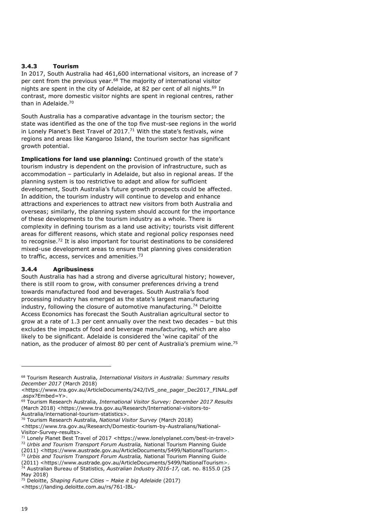#### <span id="page-20-0"></span>**3.4.3 Tourism**

In 2017, South Australia had 461,600 international visitors, an increase of 7 per cent from the previous year.<sup>[68](#page-20-2)</sup> The majority of international visitor nights are spent in the city of Adelaide, at 82 per cent of all nights. [69](#page-20-3) In contrast, more domestic visitor nights are spent in regional centres, rather than in Adelaide.[70](#page-20-4)

South Australia has a comparative advantage in the tourism sector; the state was identified as the one of the top five must-see regions in the world in Lonely Planet's Best Travel of 2017.<sup>[71](#page-20-5)</sup> With the state's festivals, wine regions and areas like Kangaroo Island, the tourism sector has significant growth potential.

**Implications for land use planning:** Continued growth of the state's tourism industry is dependent on the provision of infrastructure, such as accommodation – particularly in Adelaide, but also in regional areas. If the planning system is too restrictive to adapt and allow for sufficient development, South Australia's future growth prospects could be affected. In addition, the tourism industry will continue to develop and enhance attractions and experiences to attract new visitors from both Australia and overseas; similarly, the planning system should account for the importance of these developments to the tourism industry as a whole. There is complexity in defining tourism as a land use activity; tourists visit different areas for different reasons, which state and regional policy responses need to recognise.[72](#page-20-6) It is also important for tourist destinations to be considered mixed-use development areas to ensure that planning gives consideration to traffic, access, services and amenities.<sup>[73](#page-20-7)</sup>

### <span id="page-20-1"></span>**3.4.4 Agribusiness**

South Australia has had a strong and diverse agricultural history; however, there is still room to grow, with consumer preferences driving a trend towards manufactured food and beverages. South Australia's food processing industry has emerged as the state's largest manufacturing industry, following the closure of automotive manufacturing.[74](#page-20-8) Deloitte Access Economics has forecast the South Australian agricultural sector to grow at a rate of 1.3 per cent annually over the next two decades – but this excludes the impacts of food and beverage manufacturing, which are also likely to be significant. Adelaide is considered the 'wine capital' of the nation, as the producer of almost 80 per cent of Australia's premium wine.<sup>[75](#page-20-9)</sup>

<span id="page-20-7"></span><sup>73</sup> *Urbis and Tourism Transport Forum Australia,* National Tourism Planning Guide (2011) <https://www.austrade.gov.au/ArticleDocuments/5499/NationalTourism>.

<span id="page-20-2"></span><sup>68</sup> Tourism Research Australia, *International Visitors in Australia: Summary results December 2017* (March 2018)

<sup>&</sup>lt;https://www.tra.gov.au/ArticleDocuments/242/IVS\_one\_pager\_Dec2017\_FINAL.pdf .aspx?Embed=Y>.

<span id="page-20-3"></span><sup>69</sup> Tourism Research Australia, *International Visitor Survey: December 2017 Results* (March 2018) <https://www.tra.gov.au/Research/International-visitors-to-Australia/international-tourism-statistics>.

<span id="page-20-4"></span><sup>70</sup> Tourism Research Australia, *National Visitor Survey* (March 2018) <https://www.tra.gov.au/Research/Domestic-tourism-by-Australians/National-Visitor-Survey-results>.

<span id="page-20-5"></span><sup>&</sup>lt;sup>71</sup> Lonely Planet Best Travel of 2017 <https://www.lonelyplanet.com/best-in-travel> <sup>72</sup> *Urbis and Tourism Transport Forum Australia,* National Tourism Planning Guide

<span id="page-20-6"></span><sup>(2011) &</sup>lt;https://www.austrade.gov.au/ArticleDocuments/5499/NationalTourism>.

<span id="page-20-8"></span><sup>74</sup> Australian Bureau of Statistics, *Australian Industry 2016-17,* cat. no. 8155.0 (25 May 2018)

<span id="page-20-9"></span><sup>75</sup> Deloitte, *Shaping Future Cities – Make it big Adelaide* (2017) <https://landing.deloitte.com.au/rs/761-IBL-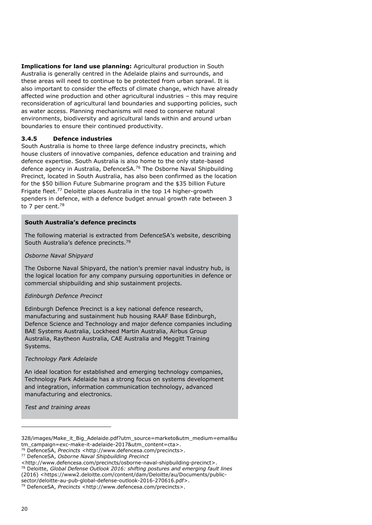**Implications for land use planning:** Agricultural production in South Australia is generally centred in the Adelaide plains and surrounds, and these areas will need to continue to be protected from urban sprawl. It is also important to consider the effects of climate change, which have already affected wine production and other agricultural industries – this may require reconsideration of agricultural land boundaries and supporting policies, such as water access. Planning mechanisms will need to conserve natural environments, biodiversity and agricultural lands within and around urban boundaries to ensure their continued productivity.

#### <span id="page-21-0"></span>**3.4.5 Defence industries**

South Australia is home to three large defence industry precincts, which house clusters of innovative companies, defence education and training and defence expertise. South Australia is also home to the only state-based defence agency in Australia, DefenceSA.[76](#page-21-1) The Osborne Naval Shipbuilding Precinct, located in South Australia, has also been confirmed as the location for the \$50 billion Future Submarine program and the \$35 billion Future Frigate fleet.<sup>[77](#page-21-2)</sup> Deloitte places Australia in the top 14 higher-growth spenders in defence, with a defence budget annual growth rate between 3 to 7 per cent.<sup>[78](#page-21-3)</sup>

#### **South Australia's defence precincts**

The following material is extracted from DefenceSA's website, describing South Australia's defence precincts.<sup>[79](#page-21-4)</sup>

#### *Osborne Naval Shipyard*

The Osborne Naval Shipyard, the nation's premier naval industry hub, is the logical location for any company pursuing opportunities in defence or commercial shipbuilding and ship sustainment projects.

#### *Edinburgh Defence Precinct*

Edinburgh Defence Precinct is a key national defence research, manufacturing and sustainment hub housing RAAF Base Edinburgh, Defence Science and Technology and major defence companies including BAE Systems Australia, Lockheed Martin Australia, Airbus Group Australia, Raytheon Australia, CAE Australia and Meggitt Training Systems.

#### *Technology Park Adelaide*

An ideal location for established and emerging technology companies, Technology Park Adelaide has a strong focus on systems development and integration, information communication technology, advanced manufacturing and electronics.

*Test and training areas*

<sup>328/</sup>images/Make\_it\_Big\_Adelaide.pdf?utm\_source=marketo&utm\_medium=email&u tm\_campaign=exc-make-it-adelaide-2017&utm\_content=cta>.

<span id="page-21-1"></span><sup>76</sup> DefenceSA, *Precincts* <http://www.defencesa.com/precincts>.

<span id="page-21-2"></span><sup>77</sup> DefenceSA, *Osborne Naval Shipbuilding Precinct* 

<span id="page-21-3"></span><sup>&</sup>lt;http://www.defencesa.com/precincts/osborne-naval-shipbuilding-precinct>. <sup>78</sup> Deloitte, *Global Defense Outlook 2016: shifting postures and emerging fault lines*  (2016) <https://www2.deloitte.com/content/dam/Deloitte/au/Documents/public-

sector/deloitte-au-pub-global-defense-outlook-2016-270616.pdf>.

<span id="page-21-4"></span><sup>79</sup> DefenceSA, *Precincts* <http://www.defencesa.com/precincts>.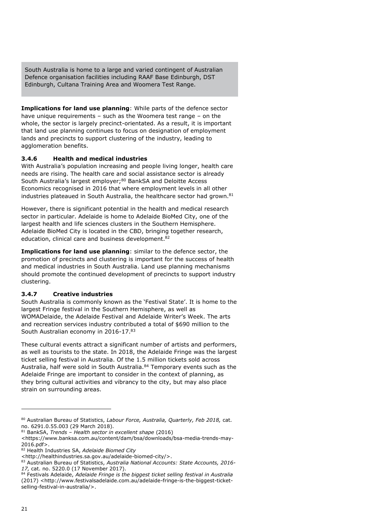South Australia is home to a large and varied contingent of Australian Defence organisation facilities including RAAF Base Edinburgh, DST Edinburgh, Cultana Training Area and Woomera Test Range.

**Implications for land use planning**: While parts of the defence sector have unique requirements – such as the Woomera test range – on the whole, the sector is largely precinct-orientated. As a result, it is important that land use planning continues to focus on designation of employment lands and precincts to support clustering of the industry, leading to agglomeration benefits.

#### <span id="page-22-0"></span>**3.4.6 Health and medical industries**

With Australia's population increasing and people living longer, health care needs are rising. The health care and social assistance sector is already South Australia's largest employer;<sup>[80](#page-22-2)</sup> BankSA and Deloitte Access Economics recognised in 2016 that where employment levels in all other industries plateaued in South Australia, the healthcare sector had grown.<sup>[81](#page-22-3)</sup>

However, there is significant potential in the health and medical research sector in particular. Adelaide is home to Adelaide BioMed City, one of the largest health and life sciences clusters in the Southern Hemisphere. Adelaide BioMed City is located in the CBD, bringing together research, education, clinical care and business development.<sup>[82](#page-22-4)</sup>

**Implications for land use planning**: similar to the defence sector, the promotion of precincts and clustering is important for the success of health and medical industries in South Australia. Land use planning mechanisms should promote the continued development of precincts to support industry clustering.

### <span id="page-22-1"></span>**3.4.7 Creative industries**

South Australia is commonly known as the 'Festival State'. It is home to the largest Fringe festival in the Southern Hemisphere, as well as WOMADelaide, the Adelaide Festival and Adelaide Writer's Week. The arts and recreation services industry contributed a total of \$690 million to the South Australian economy in 2016-17.[83](#page-22-5)

These cultural events attract a significant number of artists and performers, as well as tourists to the state. In 2018, the Adelaide Fringe was the largest ticket selling festival in Australia. Of the 1.5 million tickets sold across Australia, half were sold in South Australia.<sup>[84](#page-22-6)</sup> Temporary events such as the Adelaide Fringe are important to consider in the context of planning, as they bring cultural activities and vibrancy to the city, but may also place strain on surrounding areas.

<span id="page-22-2"></span><sup>80</sup> Australian Bureau of Statistics, *Labour Force, Australia, Quarterly, Feb 2018,* cat. no. 6291.0.55.003 (29 March 2018).

<span id="page-22-3"></span><sup>81</sup> BankSA, *Trends – Health sector in excellent shape* (2016)

<sup>&</sup>lt;https://www.banksa.com.au/content/dam/bsa/downloads/bsa-media-trends-may-2016.pdf>.

<span id="page-22-4"></span><sup>82</sup> Health Industries SA, *Adelaide Biomed City* 

<sup>&</sup>lt;http://healthindustries.sa.gov.au/adelaide-biomed-city/>.

<span id="page-22-5"></span><sup>83</sup> Australian Bureau of Statistics, *Australia National Accounts: State Accounts, 2016- 17,* cat. no. 5220.0 (17 November 2017).

<span id="page-22-6"></span><sup>84</sup> Festivals Adelaide, *Adelaide Fringe is the biggest ticket selling festival in Australia*  (2017) <http://www.festivalsadelaide.com.au/adelaide-fringe-is-the-biggest-ticketselling-festival-in-australia/>.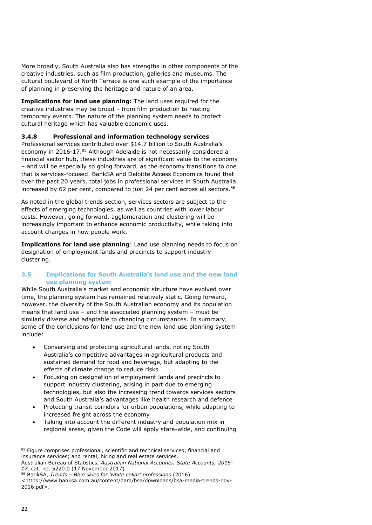More broadly, South Australia also has strengths in other components of the creative industries, such as film production, galleries and museums. The cultural boulevard of North Terrace is one such example of the importance of planning in preserving the heritage and nature of an area.

**Implications for land use planning:** The land uses required for the creative industries may be broad – from film production to hosting temporary events. The nature of the planning system needs to protect cultural heritage which has valuable economic uses.

#### <span id="page-23-0"></span>**3.4.8 Professional and information technology services**

Professional services contributed over \$14.7 billion to South Australia's economy in 2016-17.<sup>[85](#page-23-2)</sup> Although Adelaide is not necessarily considered a financial sector hub, these industries are of significant value to the economy – and will be especially so going forward, as the economy transitions to one that is services-focused. BankSA and Deloitte Access Economics found that over the past 20 years, total jobs in professional services in South Australia increased by 62 per cent, compared to just 24 per cent across all sectors.<sup>[86](#page-23-3)</sup>

As noted in the global trends section, services sectors are subject to the effects of emerging technologies, as well as countries with lower labour costs. However, going forward, agglomeration and clustering will be increasingly important to enhance economic productivity, while taking into account changes in how people work.

**Implications for land use planning**: Land use planning needs to focus on designation of employment lands and precincts to support industry clustering.

#### <span id="page-23-1"></span>**3.5 Implications for South Australia's land use and the new land use planning system**

While South Australia's market and economic structure have evolved over time, the planning system has remained relatively static. Going forward, however, the diversity of the South Australian economy and its population means that land use – and the associated planning system – must be similarly diverse and adaptable to changing circumstances. In summary, some of the conclusions for land use and the new land use planning system include:

- Conserving and protecting agricultural lands, noting South Australia's competitive advantages in agricultural products and sustained demand for food and beverage, but adapting to the effects of climate change to reduce risks
- Focusing on designation of employment lands and precincts to support industry clustering, arising in part due to emerging technologies, but also the increasing trend towards services sectors and South Australia's advantages like health research and defence
- Protecting transit corridors for urban populations, while adapting to increased freight across the economy
- Taking into account the different industry and population mix in regional areas, given the Code will apply state-wide, and continuing

<span id="page-23-2"></span><sup>85</sup> Figure comprises professional, scientific and technical services; financial and insurance services; and rental, hiring and real estate services. Australian Bureau of Statistics, *Australian National Accounts: State Accounts, 2016-*

*<sup>17,</sup>* cat. no. 5220.0 (17 November 2017). <sup>86</sup> BankSA, *Trends – Blue skies for 'white collar' professions* (2016)

<span id="page-23-3"></span><sup>&</sup>lt;https://www.banksa.com.au/content/dam/bsa/downloads/bsa-media-trends-nov-2016.pdf>.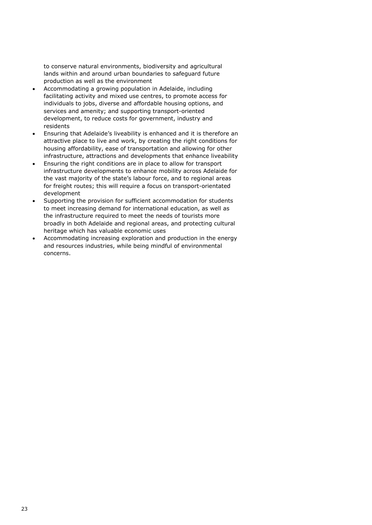to conserve natural environments, biodiversity and agricultural lands within and around urban boundaries to safeguard future production as well as the environment

- Accommodating a growing population in Adelaide, including facilitating activity and mixed use centres, to promote access for individuals to jobs, diverse and affordable housing options, and services and amenity; and supporting transport-oriented development, to reduce costs for government, industry and residents
- Ensuring that Adelaide's liveability is enhanced and it is therefore an attractive place to live and work, by creating the right conditions for housing affordability, ease of transportation and allowing for other infrastructure, attractions and developments that enhance liveability
- Ensuring the right conditions are in place to allow for transport infrastructure developments to enhance mobility across Adelaide for the vast majority of the state's labour force, and to regional areas for freight routes; this will require a focus on transport-orientated development
- Supporting the provision for sufficient accommodation for students to meet increasing demand for international education, as well as the infrastructure required to meet the needs of tourists more broadly in both Adelaide and regional areas, and protecting cultural heritage which has valuable economic uses
- Accommodating increasing exploration and production in the energy and resources industries, while being mindful of environmental concerns.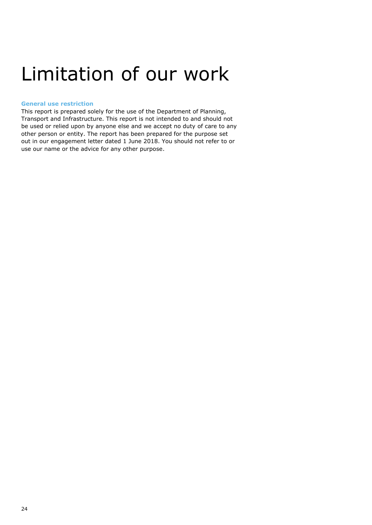### <span id="page-25-0"></span>Limitation of our work

#### <span id="page-25-1"></span>**General use restriction**

This report is prepared solely for the use of the Department of Planning, Transport and Infrastructure. This report is not intended to and should not be used or relied upon by anyone else and we accept no duty of care to any other person or entity. The report has been prepared for the purpose set out in our engagement letter dated 1 June 2018. You should not refer to or use our name or the advice for any other purpose.